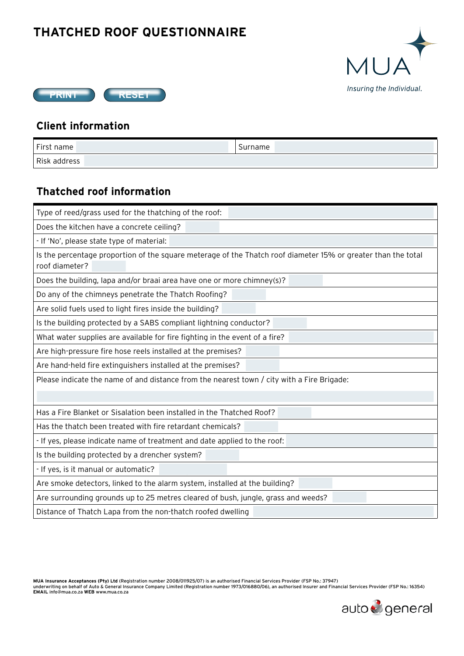## **THATCHED ROOF QUESTIONNAIRE**





## **Client information**

| First name   | Surname |
|--------------|---------|
| Risk address |         |

## **Thatched roof information**

| Type of reed/grass used for the thatching of the roof:                                                                          |  |
|---------------------------------------------------------------------------------------------------------------------------------|--|
| Does the kitchen have a concrete ceiling?                                                                                       |  |
| - If 'No', please state type of material:                                                                                       |  |
| Is the percentage proportion of the square meterage of the Thatch roof diameter 15% or greater than the total<br>roof diameter? |  |
| Does the building, lapa and/or braai area have one or more chimney(s)?                                                          |  |
| Do any of the chimneys penetrate the Thatch Roofing?                                                                            |  |
| Are solid fuels used to light fires inside the building?                                                                        |  |
| Is the building protected by a SABS compliant lightning conductor?                                                              |  |
| What water supplies are available for fire fighting in the event of a fire?                                                     |  |
| Are high-pressure fire hose reels installed at the premises?                                                                    |  |
| Are hand-held fire extinguishers installed at the premises?                                                                     |  |
| Please indicate the name of and distance from the nearest town $/$ city with a Fire Brigade:                                    |  |
|                                                                                                                                 |  |
| Has a Fire Blanket or Sisalation been installed in the Thatched Roof?                                                           |  |
| Has the thatch been treated with fire retardant chemicals?                                                                      |  |
| - If yes, please indicate name of treatment and date applied to the roof:                                                       |  |
| Is the building protected by a drencher system?                                                                                 |  |
| - If yes, is it manual or automatic?                                                                                            |  |
| Are smoke detectors, linked to the alarm system, installed at the building?                                                     |  |
| Are surrounding grounds up to 25 metres cleared of bush, jungle, grass and weeds?                                               |  |
| Distance of Thatch Lapa from the non-thatch roofed dwelling                                                                     |  |

MUA Insurance Acceptances (Pty) Ltd (Registration number 2008/011925/07) is an authorised Financial Services Provider (FSP No.: 37947)<br>underwriting on behalf of Auto & General Insurance Company Limited (Registration number